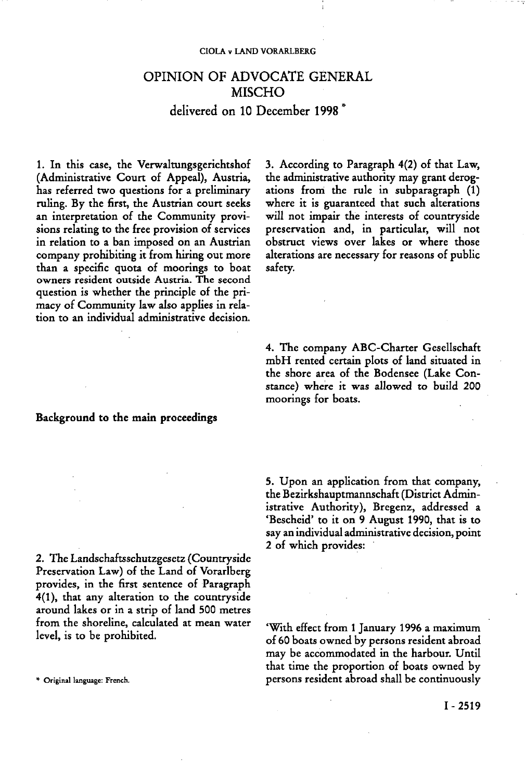#### **CIÓLA ν LAND VORARLBERG**

# **OPINION OF ADVOCATE GENERAL MISCHO**

**delivered on 10 December 1998** 

1. In this case, the Verwaltungsgerichtshof (Administrative Court of Appeal), Austria, has referred two questions for a preliminary ruling. By the first, the Austrian court seeks an interpretation of the Community provisions relating to the free provision of services in relation to a ban imposed on an Austrian company prohibiting it from hiring out more than a specific quota of moorings to boat owners resident outside Austria. The second question is whether the principle of the primacy of Community law also applies in relation to an individual administrative decision.

**Background to the main proceedings** 

2. The Landschaftsschutzgesetz (Countryside Preservation Law) of the Land of Vorarlberg provides, in the first sentence of Paragraph 4(1), that any alteration to the countryside around lakes or in a strip of land 500 metres from the shoreline, calculated at mean water level, is to be prohibited.

3. According to Paragraph 4(2) of that Law, the administrative authority may grant derogations from the rule in subparagraph (1) where it is guaranteed that such alterations will not impair the interests of countryside preservation and, in particular, will not obstruct views over lakes or where those alterations are necessary for reasons of public safety.

4. The company ABC-Charter Gesellschaft mbH rented certain plots of land situated in the shore area of the Bodensee (Lake Constance) where it was allowed to build 200 moorings for boats.

5. Upon an application from that company, the Bezirkshauptmannschaft (District Administrative Authority), Bregenz, addressed a 'Bescheid' to it on 9 August 1990, that is to say an individual administrative decision, point 2 of which provides:

'With effect from 1 January 1996 a maximum of 60 boats owned by persons resident abroad may be accommodated in the harbour. Until that time the proportion of boats owned by **\* Original language: French.** persons resident abroad shall be continuously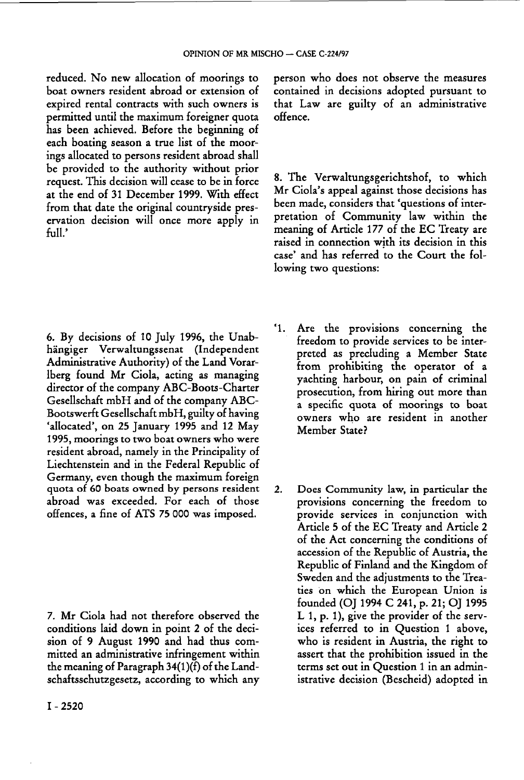reduced. No new allocation of moorings to boat owners resident abroad or extension of expired rental contracts with such owners is permitted until the maximum foreigner quota has been achieved. Before the beginning of each boating season a true list of the moorings allocated to persons resident abroad shall be provided to the authority without prior request. This decision will cease to be in force at the end of 31 December 1999. With effect from that date the original countryside preservation decision will once more apply in full.'

6. By decisions of 10 July 1996, the Unabhängiger Verwaltungssenat (Independent Administrative Authority) of the Land Vorarlberg found Mr Ciola, acting as managing director of the company ABC-Boots-Charter Gesellschaft mbH and of the company ABC-Bootswerft Gesellschaft mbH, guilty of having 'allocated', on 25 January 1995 and 12 May 1995, moorings to two boat owners who were resident abroad, namely in the Principality of Liechtenstein and in the Federal Republic of Germany, even though the maximum foreign quota of 60 boats owned by persons resident abroad was exceeded. For each of those offences, a fine of ATS 75 000 was imposed.

7. Mr Ciola had not therefore observed the conditions laid down in point 2 of the decision of 9 August 1990 and had thus committed an administrative infringement within the meaning of Paragraph 34(1 )(f) of the Landschaftsschutzgesetz, according to which any

I - 2520

person who does not observe the measures contained in decisions adopted pursuant to that Law are guilty of an administrative offence.

8. The Verwaltungsgerichtshof, to which Mr Ciola's appeal against those decisions has been made, considers that 'questions of interpretation of Community law within the meaning of Article 1*77* of the EC Treaty are raised in connection with its decision in this case' and has referred to the Court the following two questions:

- '1. Are the provisions concerning the freedom to provide services to be interpreted as precluding a Member State from prohibiting the operator of a yachting harbour, on pain of criminal prosecution, from hiring out more than a specific quota of moorings to boat owners who are resident in another Member State?
- 2. Does Community law, in particular the provisions concerning the freedom to provide services in conjunction with Article 5 of the EC Treaty and Article 2 of the Act concerning the conditions of accession of the Republic of Austria, the Republic of Finland and the Kingdom of Sweden and the adjustments to the Treaties on which the European Union is founded (OJ 1994 C 241, p. 21; OJ 1995 L 1, p. 1), give the provider of the services referred to in Question 1 above, who is resident in Austria, the right to assert that the prohibition issued in the terms set out in Question 1 in an administrative decision (Bescheid) adopted in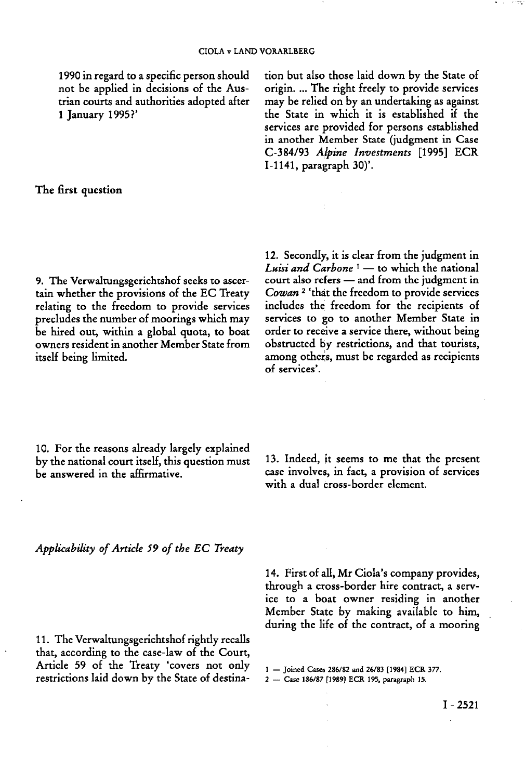1990 in regard to a specific person should not be applied in decisions of the Austrian courts and authorities adopted after 1 January 1995?'

tion but also those laid down by the State of origin. ... The right freely to provide services may be relied on by an undertaking as against the State in which it is established if the services are provided for persons established in another Member State (judgment in Case C-3 84/93 *Alpine Investments* [1995] ECR 1-1141, paragraph 30)'.

### **The first question**

9. The Verwaltungsgerichtshof seeks to ascertain whether the provisions of the EC Treaty relating to the freedom to provide services precludes the number of moorings which may be hired out, within a global quota, to boat owners resident in another Member State from itself being limited.

12. Secondly, it is clear from the judgment in *Luisi and Carbone*<sup>1</sup> — to which the national court also refers — and from the judgment in *Cowan*<sup>2</sup> 'that the freedom to provide services includes the freedom for the recipients of services to go to another Member State in order to receive a service there, without being obstructed by restrictions, and that tourists, among others, must be regarded as recipients of services'.

10. For the reasons already largely explained by the national court itself, this question must be answered in the affirmative.

13. Indeed, it seems to me that the present case involves, in fact, a provision of services with a dual cross-border element.

*Applicability of Article 59 of the EC Treaty* 

11. The Verwaltungsgerichtshof rightly recalls that, according to the case-law of the Court, Article 59 of the Treaty 'covers not only restrictions laid down by the State of destina14. First of all, Mr Ciola's company provides, through a cross-border hire contract, a service to a boat owner residing in another Member State by making available to him, during the life of the contract, of a mooring

**1 — Joined Cases 286/82 and 26/83 [1984] ECR 377. 2 — Case 186/87 [1989] ECR 195, paragraph 15.**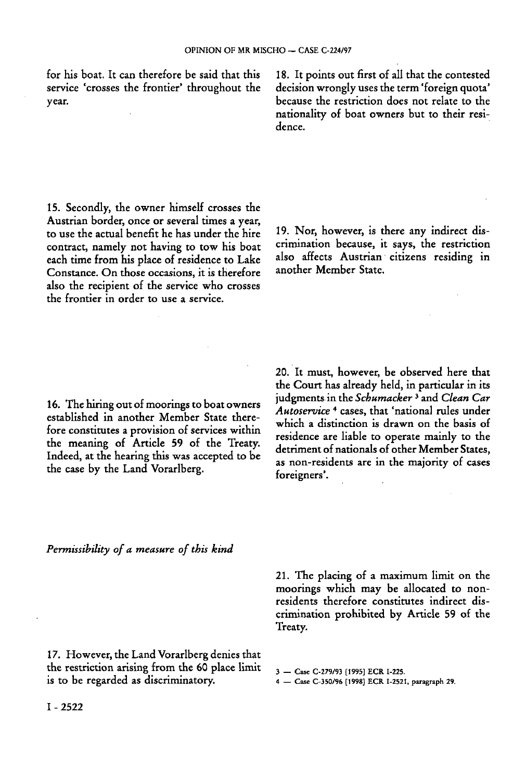for his boat. It can therefore be said that this service 'crosses the frontier' throughout the year.

15. Secondly, the owner himself crosses the Austrian border, once or several times a year, to use the actual benefit he has under the hire contract, namely not having to tow his boat each time from his place of residence to Lake Constance. On those occasions, it is therefore also the recipient of the service who crosses the frontier in order to use a service.

16. The hiring out of moorings to boat owners established in another Member State therefore constitutes a provision of services within the meaning of Article 59 of the Treaty. Indeed, at the hearing this was accepted to be the case by the Land Vorarlberg.

18. It points out first of all that the contested decision wrongly uses the term 'foreign quota' because the restriction does not relate to the nationality of boat owners but to their residence.

19. Nor, however, is there any indirect discrimination because, it says, the restriction also affects Austrian citizens residing in another Member State.

20. It must, however, be observed here that the Court has already held, in particular in its judgments in the *Schumacker*<sup>3</sup> and *Clean Car Autoservice*<sup>4</sup> cases, that 'national rules under which a distinction is drawn on the basis of residence are liable to operate mainly to the detriment of nationals of other Member States, as non-residents are in the majority of cases foreigners'.

*Permissibility of a measure of this kind* 

21. The placing of a maximum limit on the moorings which may be allocated to nonresidents therefore constitutes indirect discrimination prohibited by Article 59 of the Treaty.

17. However, the Land Vorarlberg denies that the restriction arising from the 60 place limit is to be regarded as discriminatory.

3 — Case C-279/93 [1995] ECR I-225.

4 — Case C-350/96 [1998] ECR 1-2521, paragraph 29.

I - 2522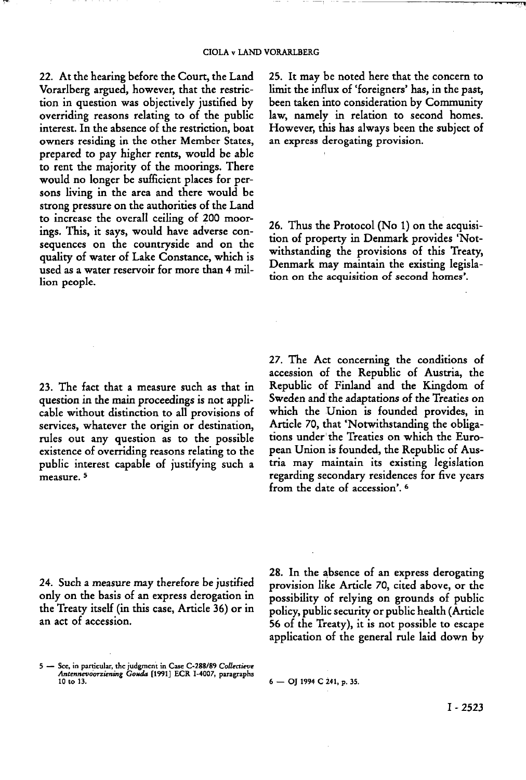22. At the hearing before the Court, the Land Vorarlberg argued, however, that the restriction in question was objectively justified by overriding reasons relating to of the public interest. In the absence of the restriction, boat owners residing in the other Member States, prepared to pay higher rents, would be able to rent the majority of the moorings. There would no longer be sufficient places for persons living in the area and there would be strong pressure on the authorities of the Land to increase the overall ceiling of 200 moorings. This, it says, would have adverse consequences on the countryside and on the quality of water of Lake Constance, which is used as a water reservoir for more than 4 million people.

23. The fact that a measure such as that in question in the main proceedings is not applicable without distinction to all provisions of services, whatever the origin or destination, rules out any question as to the possible existence of overriding reasons relating to the public interest capable of justifying such a -<br>measure. <sup>5</sup>

25. It may be noted here that the concern to limit the influx of 'foreigners' has, in the past, been taken into consideration by Community law, namely in relation to second homes. However, this has always been the subject of an express derogating provision.

26. Thus the Protocol (No 1) on the acquisition of property in Denmark provides 'Notwithstanding the provisions of this Treaty, Denmark may maintain the existing legislation on the acquisition of second homes'.

27. The Act concerning the conditions of accession of the Republic of Austria, the Republic of Finland and the Kingdom of Sweden and the adaptations of the Treaties on which the Union is founded provides, in Article 70, that 'Notwithstanding the obligations under the Treaties on which the European Union is founded, the Republic of Austria may maintain its existing legislation regarding secondary residences for five years from the date of accession'.<sup>6</sup>

24. Such a measure may therefore be justified only on the basis of an express derogation in the Treaty itself (in this case, Article 36) or in an act of accession.

28. In the absence of an express derogating provision like Article 70, cited above, or the possibility of relying on grounds of public policy, public security or public health (Article 56 of the Treaty), it is not possible to escape application of the general rule laid down by

**<sup>5 —</sup> See, in particular, the judgment in Case C-288/89** *Collectieve Antennevoorziening Gouda* **[1991] ECR I-4007, paragraphs 10 to 13. 6 — OJ 1994 C 241, p. 35.**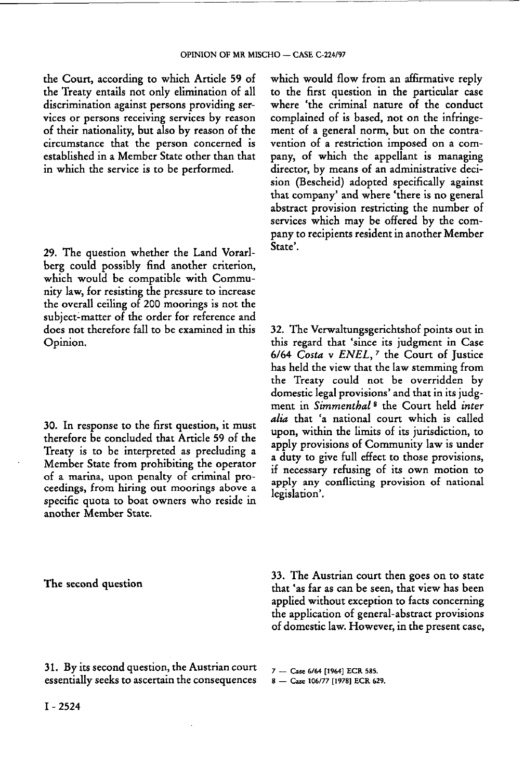the Court, according to which Article 59 of the Treaty entails not only elimination of all discrimination against persons providing services or persons receiving services by reason of their nationality, but also by reason of the circumstance that the person concerned is established in a Member State other than that in which the service is to be performed.

29. The question whether the Land Vorarlberg could possibly find another criterion, which would be compatible with Community law, for resisting the pressure to increase the overall ceiling of 200 moorings is not the subject-matter of the order for reference and does not therefore fall to be examined in this Opinion.

30. In response to the first question, it must therefore be concluded that Article 59 of the Treaty is to be interpreted as precluding a Member State from prohibiting the operator of a marina, upon penalty of criminal proceedings, from hiring out moorings above a specific quota to boat owners who reside in another Member State.

which would flow from an affirmative reply to the first question in the particular case where 'the criminal nature of the conduct complained of is based, not on the infringement of a general norm, but on the contravention of a restriction imposed on a company, of which the appellant is managing director, by means of an administrative decision (Bescheid) adopted specifically against that company' and where 'there is no general abstract provision restricting the number of services which may be offered by the company to recipients resident in another Member State'.

32. The Verwaltungsgerichtshof points out in this regard that 'since its judgment in Case 6/64 *Costa* ν *ENEL,<sup>7</sup>* the Court of Justice has held the view that the law stemming from the Treaty could not be overridden by domestic legal provisions' and that in its judgment in *Simmenthal<sup>8</sup>* the Court held *inter alia* that 'a national court which is called upon, within the limits of its jurisdiction, to apply provisions of Community law is under a duty to give full effect to those provisions, if necessary refusing of its own motion to apply any conflicting provision of national legislation'.

**The second question** 

33. The Austrian court then goes on to state that 'as far as can be seen, that view has been applied without exception to facts concerning the application of general-abstract provisions of domestic law. However, in the present case,

31. By its second question, the Austrian court essentially seeks to ascertain the consequences

7 — Case 6/64 [1964] ECR 585.

8 — Case 106/77 [1978] ECR 629.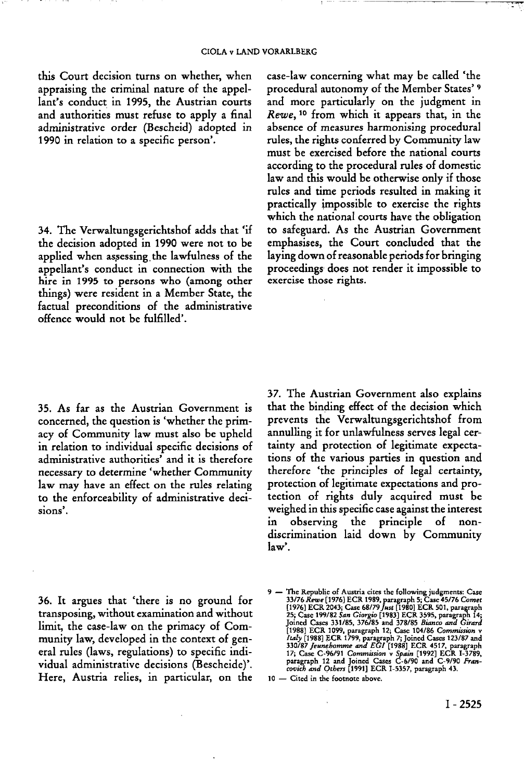this Court decision turns on whether, when appraising the criminal nature of the appellant's conduct in 1995, the Austrian courts and authorities must refuse to apply a final administrative order (Bescheid) adopted in 1990 in relation to a specific person'.

34. The Verwaltungsgerichtshof adds that 'if the decision adopted in 1990 were not to be applied when assessing the lawfulness of the appellant's conduct in connection with the hire in 1995 to persons who (among other things) were resident in a Member State, the factual preconditions of the administrative offence would not be fulfilled'.

case-law concerning what may be called 'the procedural autonomy of the Member States'<sup>9</sup> and more particularly on the judgment in *Rewe,*<sup>10</sup> from which it appears that, in the absence of measures harmonising procedural rules, the rights conferred by Community law must be exercised before the national courts according to the procedural rules of domestic law and this would be otherwise only if those rules and time periods resulted in making it practically impossible to exercise the rights which the national courts have the obligation to safeguard. As the Austrian Government emphasises, the Court concluded that the laying down of reasonable periods for bringing proceedings does not render it impossible to exercise those rights.

35. As far as the Austrian Government is concerned, the question is 'whether the primacy of Community law must also be upheld in relation to individual specific decisions of administrative authorities' and it is therefore necessary to determine 'whether Community law may have an effect on the rules relating to the enforceability of administrative decisions'.

37. The Austrian Government also explains that the binding effect of the decision which prevents the Verwaltungsgerichtshof from annulling it for unlawfulness serves legal certainty and protection of legitimate expectations of the various parties in question and therefore 'the principles of legal certainty, protection of legitimate expectations and protection of rights duly acquired must be weighed in this specific case against the interest in observing the principle of nondiscrimination laid down by Community law'.

36. It argues that 'there is no ground for transposing, without examination and without limit, the case-law on the primacy of Community law, developed in the context of general rules (laws, regulations) to specific individual administrative decisions (Bescheide)'. Here, Austria relies, in particular, on the

<sup>9 —</sup> The Republic of Austria cites the following judgments: Case<br>
33/76 Rewe (1976) ECR 1989, paragraph 5; Case 45/76 Comet<br>
1976) ECR 2043; Case 68/79 Just [1980] ECR 501, paragraph<br>
25; Case 199/82 San Giorgio [1983] ECR

**<sup>10 —</sup> Cited in the footnote above.**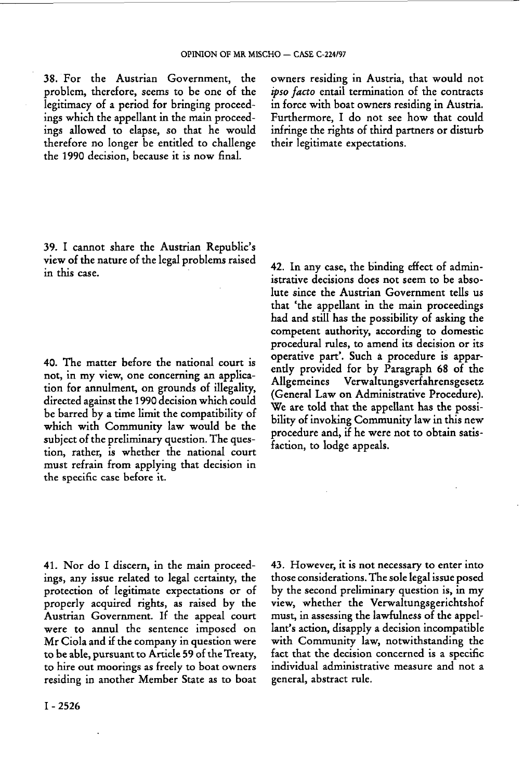38. For the Austrian Government, the problem, therefore, seems to be one of the legitimacy of a period for bringing proceedings which the appellant in the main proceedings allowed to elapse, so that he would therefore no longer be entitled to challenge the 1990 decision, because it is now final.

owners residing in Austria, that would not *ipso facto* entail termination of the contracts in force with boat owners residing in Austria. Furthermore, I do not see how that could infringe the rights of third partners or disturb their legitimate expectations.

39. I cannot share the Austrian Republic's view of the nature of the legal problems raised in this case.

40. The matter before the national court is not, in my view, one concerning an application for annulment, on grounds of illegality, directed against the 1990 decision which could be barred by a time limit the compatibility of which with Community law would be the subject of the preliminary question. The question, rather, is whether the national court must refrain from applying that decision in the specific case before it.

42. In any case, the binding effect of administrative decisions does not seem to be absolute since the Austrian Government tells us that 'the appellant in the main proceedings had and still has the possibility of asking the competent authority, according to domestic procedural rules, to amend its decision or its operative part'. Such à procedure is apparently provided for by Paragraph 68 of the Allgemeines Verwaltungsverfahrensgesetz (General Law on Administrative Procedure). We are told that the appellant has the possibility of invoking Community law in this new procedure and, if he were not to obtain satisfaction, to lodge appeals.

41. Nor do I discern, in the main proceedings, any issue related to legal certainty, the protection of legitimate expectations or of properly acquired rights, as raised by the Austrian Government. If the appeal court were to annul the sentence imposed on Mr Ciola and if the company in question were to be able, pursuant to Article 59 of the Treaty, to hire out moorings as freely to boat owners residing in another Member State as to boat 43. However, it is not necessary to enter into those considerations. The sole legal issue posed by the second preliminary question is, in my view, whether the Verwaltungsgerichtshof must, in assessing the lawfulness of the appellant's action, disapply a decision incompatible with Community law, notwithstanding the fact that the decision concerned is a specific individual administrative measure and not a general, abstract rule.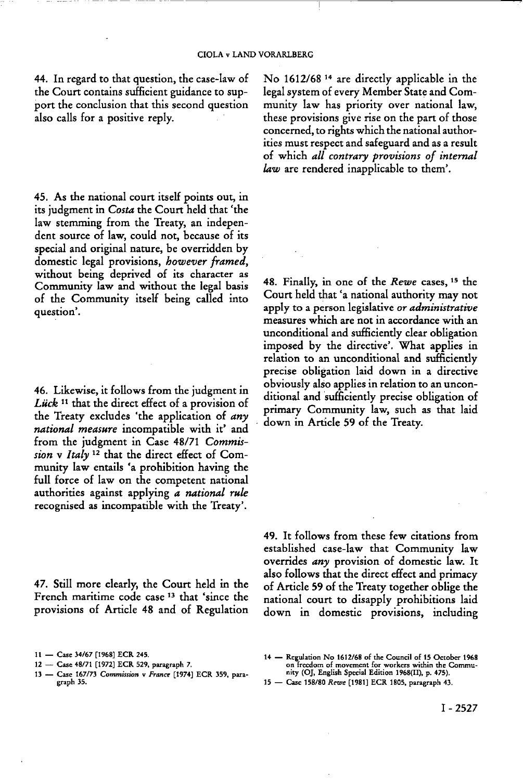44. In regard to that question, the case-law of the Court contains sufficient guidance to support the conclusion that this second question also calls for a positive reply.

45. As the national court itself points out, in its judgment in *Costa* the Court held that 'the law stemming from the Treaty, an independent source of law, could not, because of its special and original nature, be overridden by domestic legal provisions, *however framed,*  without being deprived of its character as Community law and without the legal basis of the Community itself being called into question'.

46. Likewise, it follows from the judgment in Lück<sup>11</sup> that the direct effect of a provision of the Treaty excludes 'the application of *any national measure* incompatible with it' and from the judgment in Case 48/71 *Commis*sion v Italy<sup>12</sup> that the direct effect of Community law entails 'a prohibition having the full force of law on the competent national authorities against applying *a national rule*  recognised as incompatible with the Treaty'.

47. Still more clearly, the Court held in the French maritime code case<sup>13</sup> that 'since the provisions of Article 48 and of Regulation

**13 — Case 167/73** *Commission* **ν** *France* **[1974] ECR 359, paragraph 35.** 

No 1612/68<sup>14</sup> are directly applicable in the legal system of every Member State and Community law has priority over national law, these provisions give rise on the part of those concerned, to rights which the national authorities must respect and safeguard and as a result of which *all contrary provisions of internal law* are rendered inapplicable to them'.

48. Finally, in one of the Rewe cases, <sup>15</sup> the Court held that 'a national authority may not apply to a person legislative *or administrative*  measures which are not in accordance with an unconditional and sufficiently clear obligation imposed by the directive'. What applies in relation to an unconditional and sufficiently precise obligation laid down in a directive obviously also applies in relation to an unconditional and sufficiently precise obligation of primary Community law, such as that laid down in Article 59 of the Treaty.

49. It follows from these few citations from established case-law that Community law overrides *any* provision of domestic law. It also follows that the direct effect and primacy of Article 59 of the Treaty together oblige the national court to disapply prohibitions laid down in domestic provisions, including

**14 — Regulation No 1612/68 of the Council of 15 October 1968 on freedom of movement for workers within the Commu-nity (OJ, English Special Edition 1968(11), p. 475).** 

**<sup>11 —</sup> Case 34/67 [1968] ECR 245.** 

**<sup>12 —</sup> Case 48/71 [1972] ECR 529, paragraph 7.** 

**<sup>15 —</sup> Case 158/80** *Rewe* **[1981] ECR 1805, paragraph 43.**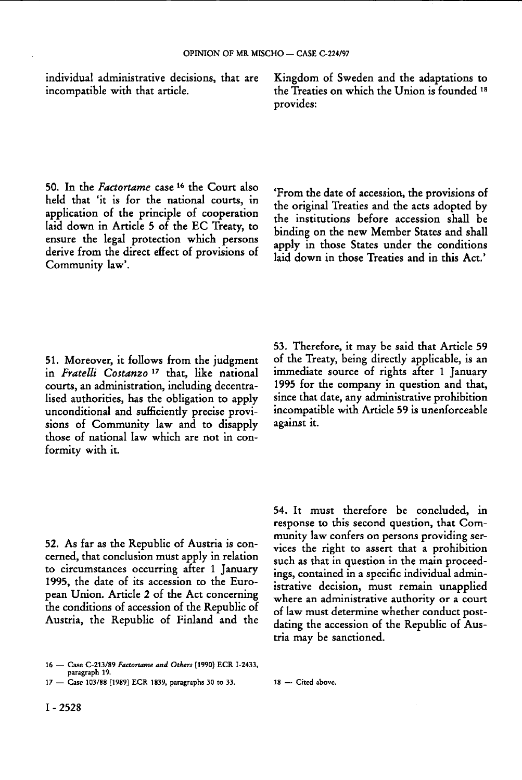individual administrative decisions, that are incompatible with that article.

50. In the *Factortame* case 16 the Court also held that 'it is for the national courts, in application of the principle of cooperation laid down in Article 5 of the EC Treaty, to ensure the legal protection which persons derive from the direct effect of provisions of Community law'.

51. Moreover, it follows from the judgment in *Fratelli Costanzo*<sup>17</sup> that, like national courts, an administration, including decentralised authorities, has the obligation to apply unconditional and sufficiently precise provisions of Community law and to disapply those of national law which are not in conformity with it.

53. Therefore, it may be said that Article 59 of the Treaty, being directly applicable, is an immediate source of rights after 1 January 1995 for the company in question and that, since that date, any administrative prohibition incompatible with Article 59 is unenforceable against it.

52. As far as the Republic of Austria is concerned, that conclusion must apply in relation to circumstances occurring after 1 January 1995, the date of its accession to the European Union. Article 2 of the Act concerning the conditions of accession of the Republic of Austria, the Republic of Finland and the 54. It must therefore be concluded, in response to this second question, that Community law confers on persons providing services the right to assert that a prohibition such as that in question in the main proceedings, contained in a specific individual administrative decision, must remain unapplied where an administrative authority or a court of law must determine whether conduct postdating the accession of the Republic of Austria may be sanctioned.

Kingdom of Sweden and the adaptations to the Treaties on which the Union is founded 18 provides:

'From the date of accession, the provisions of the original Treaties and the acts adopted by the institutions before accession shall be binding on the new Member States and shall apply in those States under the conditions laid down in those Treaties and in this Act.'

**<sup>16 —</sup> Case C-213/89** *Factortame and Others* **[1990] ECR I-2433, paragraph 19.** 

**<sup>17 —</sup> Case 103/88 [1989] ECR 1839, paragraphs 30 to 33. 18 — Cited above.**